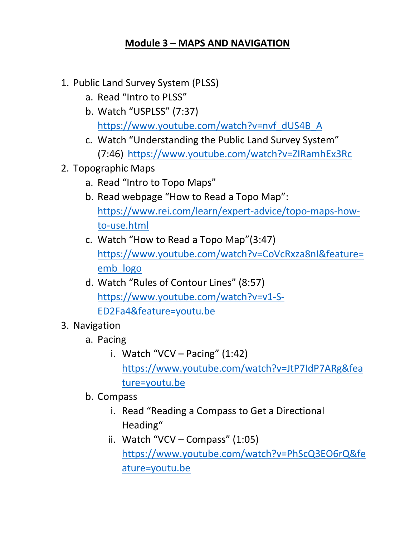## **Module 3 – MAPS AND NAVIGATION**

- 1. Public Land Survey System (PLSS)
	- a. [Read "Intro to PLSS"](#page-1-0)
	- b. Watch "USPLSS" (7:37) [https://www.youtube.com/watch?v=nvf\\_dUS4B\\_A](https://www.youtube.com/watch?v=nvf_dUS4B_A)
	- c. Watch "Understanding the Public Land Survey System" (7:46)<https://www.youtube.com/watch?v=ZIRamhEx3Rc>
- 2. Topographic Maps
	- a. [Read "Intro to Topo Maps"](#page-2-0)
	- b. Read webpage "How to Read a Topo Map": [https://www.rei.com/learn/expert-advice/topo-maps-how](https://www.rei.com/learn/expert-advice/topo-maps-how-to-use.html)[to-use.html](https://www.rei.com/learn/expert-advice/topo-maps-how-to-use.html)
	- c. Watch "How to Read a Topo Map"(3:47) [https://www.youtube.com/watch?v=CoVcRxza8nI&feature=](https://www.youtube.com/watch?v=CoVcRxza8nI&feature=emb_logo) [emb\\_logo](https://www.youtube.com/watch?v=CoVcRxza8nI&feature=emb_logo)
	- d. Watch "Rules of Contour Lines" (8:57) [https://www.youtube.com/watch?v=v1-S-](https://www.youtube.com/watch?v=v1-S-ED2Fa4&feature=youtu.be)[ED2Fa4&feature=youtu.be](https://www.youtube.com/watch?v=v1-S-ED2Fa4&feature=youtu.be)
- 3. Navigation
	- a. Pacing
		- i. Watch "VCV Pacing"  $(1:42)$ [https://www.youtube.com/watch?v=JtP7IdP7ARg&fea](https://www.youtube.com/watch?v=JtP7IdP7ARg&feature=youtu.be) [ture=youtu.be](https://www.youtube.com/watch?v=JtP7IdP7ARg&feature=youtu.be)
	- b. Compass
		- i. [Read "Reading a Compass to Get a Directional](#page-3-0)  Heading"
		- ii. Watch "VCV Compass" (1:05) [https://www.youtube.com/watch?v=PhScQ3EO6rQ&fe](https://www.youtube.com/watch?v=PhScQ3EO6rQ&feature=youtu.be) [ature=youtu.be](https://www.youtube.com/watch?v=PhScQ3EO6rQ&feature=youtu.be)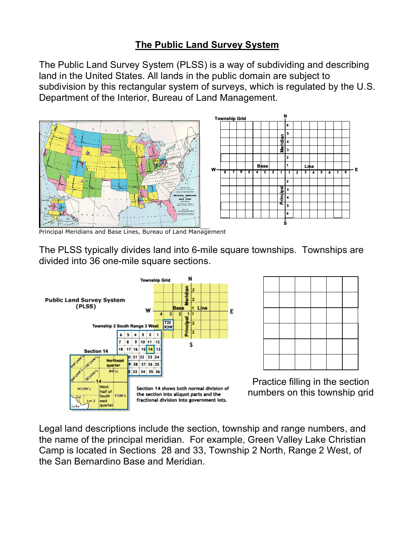## **The Public Land Survey System**

<span id="page-1-0"></span>The Public Land Survey System (PLSS) is a way of subdividing and describing land in the United States. All lands in the public domain are subject to subdivision by this rectangular system of surveys, which is regulated by the U.S. Department of the Interior, Bureau of Land Management.



Principal Meridians and Base Lines, Bureau of Land Management

The PLSS typically divides land into 6-mile square townships. Townships are divided into 36 one-mile square sections.





Practice filling in the section numbers on this township grid

Legal land descriptions include the section, township and range numbers, and the name of the principal meridian. For example, Green Valley Lake Christian Camp is located in Sections 28 and 33, Township 2 North, Range 2 West, of the San Bernardino Base and Meridian.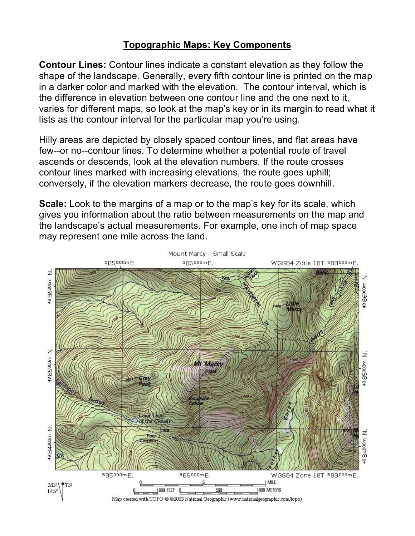## **Topographic Maps: Key Components**

<span id="page-2-0"></span>**Contour Lines:** Contour lines indicate a constant elevation as they follow the shape of the landscape. Generally, every fifth contour line is printed on the map in a darker color and marked with the elevation. The contour interval, which is the difference in elevation between one contour line and the one next to it, varies for different maps, so look at the map's key or in its margin to read what it lists as the contour interval for the particular map you're using.

Hilly areas are depicted by closely spaced contour lines, and flat areas have few--or no--contour lines. To determine whether a potential route of travel ascends or descends, look at the elevation numbers. If the route crosses contour lines marked with increasing elevations, the route goes uphill; conversely, if the elevation markers decrease, the route goes downhill.

**Scale:** Look to the margins of a map or to the map's key for its scale, which gives you information about the ratio between measurements on the map and the landscape's actual measurements. For example, one inch of map space may represent one mile across the land.